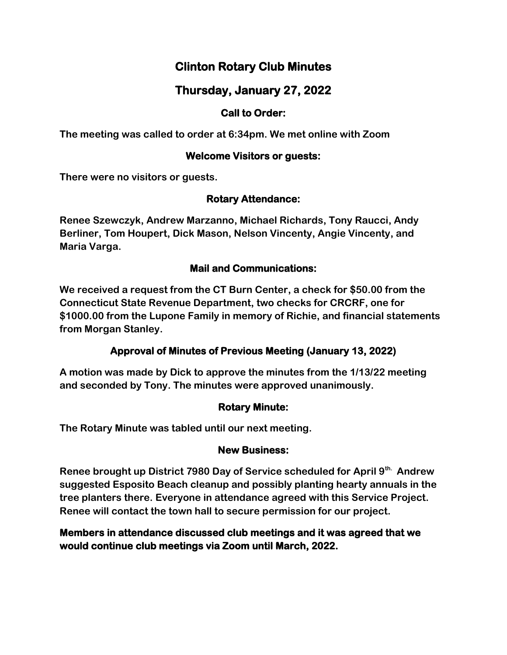# **Clinton Rotary Club Minutes**

## **Thursday, January 27, 2022**

## **Call to Order:**

**The meeting was called to order at 6:34pm. We met online with Zoom**

### **Welcome Visitors or guests:**

**There were no visitors or guests.**

## **Rotary Attendance:**

**Renee Szewczyk, Andrew Marzanno, Michael Richards, Tony Raucci, Andy Berliner, Tom Houpert, Dick Mason, Nelson Vincenty, Angie Vincenty, and Maria Varga.**

## **Mail and Communications:**

**We received a request from the CT Burn Center, a check for \$50.00 from the Connecticut State Revenue Department, two checks for CRCRF, one for \$1000.00 from the Lupone Family in memory of Richie, and financial statements from Morgan Stanley.**

## **Approval of Minutes of Previous Meeting (January 13, 2022)**

**A motion was made by Dick to approve the minutes from the 1/13/22 meeting and seconded by Tony. The minutes were approved unanimously.**

## **Rotary Minute:**

**The Rotary Minute was tabled until our next meeting.**

#### **New Business:**

**Renee brought up District 7980 Day of Service scheduled for April 9th. Andrew suggested Esposito Beach cleanup and possibly planting hearty annuals in the tree planters there. Everyone in attendance agreed with this Service Project. Renee will contact the town hall to secure permission for our project.**

## **Members in attendance discussed club meetings and it was agreed that we would continue club meetings via Zoom until March, 2022.**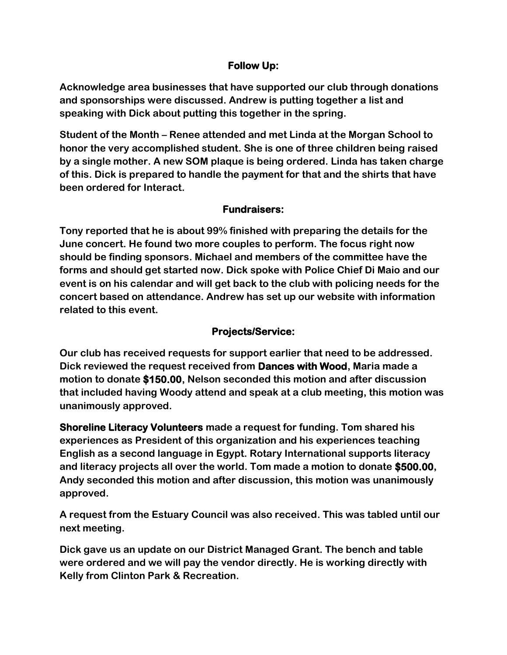### **Follow Up:**

**Acknowledge area businesses that have supported our club through donations and sponsorships were discussed. Andrew is putting together a list and speaking with Dick about putting this together in the spring.**

**Student of the Month – Renee attended and met Linda at the Morgan School to honor the very accomplished student. She is one of three children being raised by a single mother. A new SOM plaque is being ordered. Linda has taken charge of this. Dick is prepared to handle the payment for that and the shirts that have been ordered for Interact.**

## **Fundraisers:**

**Tony reported that he is about 99% finished with preparing the details for the June concert. He found two more couples to perform. The focus right now should be finding sponsors. Michael and members of the committee have the forms and should get started now. Dick spoke with Police Chief Di Maio and our event is on his calendar and will get back to the club with policing needs for the concert based on attendance. Andrew has set up our website with information related to this event.**

## **Projects/Service:**

**Our club has received requests for support earlier that need to be addressed. Dick reviewed the request received from Dances with Wood, Maria made a motion to donate \$150.00, Nelson seconded this motion and after discussion that included having Woody attend and speak at a club meeting, this motion was unanimously approved.**

**Shoreline Literacy Volunteers made a request for funding. Tom shared his experiences as President of this organization and his experiences teaching English as a second language in Egypt. Rotary International supports literacy and literacy projects all over the world. Tom made a motion to donate \$500.00, Andy seconded this motion and after discussion, this motion was unanimously approved.**

**A request from the Estuary Council was also received. This was tabled until our next meeting.**

**Dick gave us an update on our District Managed Grant. The bench and table were ordered and we will pay the vendor directly. He is working directly with Kelly from Clinton Park & Recreation.**